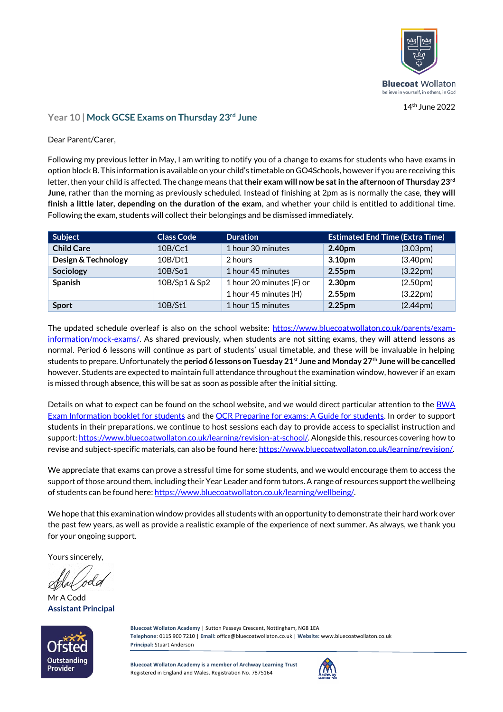

14 th June 2022

## **Year 10 | Mock GCSE Exams on Thursday 23rd June**

Dear Parent/Carer,

Following my previous letter in May, I am writing to notify you of a change to exams for students who have exams in option block B. This information is available on your child's timetable on GO4Schools, however if you are receiving this letter, then your child is affected. The change means that **their exam will now be sat in the afternoon of Thursday 23rd June**, rather than the morning as previously scheduled. Instead of finishing at 2pm as is normally the case, **they will finish a little later, depending on the duration of the exam**, and whether your child is entitled to additional time. Following the exam, students will collect their belongings and be dismissed immediately.

| Subject             | <b>Class Code</b> | <b>Duration</b>          | <b>Estimated End Time (Extra Time)</b> |                       |
|---------------------|-------------------|--------------------------|----------------------------------------|-----------------------|
| <b>Child Care</b>   | 10B/Cc1           | 1 hour 30 minutes        | 2.40pm                                 | (3.03 <sub>pm</sub> ) |
| Design & Technology | 10B/Dt1           | 2 hours                  | 3.10 <sub>pm</sub>                     | (3.40 <sub>pm</sub> ) |
| Sociology           | 10B/So1           | 1 hour 45 minutes        | 2.55 <sub>pm</sub>                     | (3.22 <sub>pm</sub> ) |
| Spanish             | 10B/Sp1 & Sp2     | 1 hour 20 minutes (F) or | 2.30 <sub>pm</sub>                     | (2.50 <sub>pm</sub> ) |
|                     |                   | 1 hour 45 minutes (H)    | 2.55 <sub>pm</sub>                     | (3.22 <sub>pm</sub> ) |
| <b>Sport</b>        | 10B/St1           | 1 hour 15 minutes        | 2.25 <sub>pm</sub>                     | (2.44 <sub>pm</sub> ) |

The updated schedule overleaf is also on the school website: [https://www.bluecoatwollaton.co.uk/parents/exam](https://www.bluecoatwollaton.co.uk/parents/exam-information/mock-exams/)[information/mock-exams/.](https://www.bluecoatwollaton.co.uk/parents/exam-information/mock-exams/) As shared previously, when students are not sitting exams, they will attend lessons as normal. Period 6 lessons will continue as part of students' usual timetable, and these will be invaluable in helping students to prepare. Unfortunately the **period 6 lessons on Tuesday 21st June and Monday 27th June will be cancelled** however. Students are expected to maintain full attendance throughout the examination window, however if an exam is missed through absence, this will be sat as soon as possible after the initial sitting.

Details on what to expect can be found on the school website, and we would direct particular attention to the BWA [Exam Information booklet for students](https://www.bluecoatwollaton.co.uk/wp-content/uploads/2020/11/Exam-information-for-students-2020-21.pdf) and the [OCR Preparing for exams: A Guide for students.](https://ocr.org.uk/Images/649960-preparing-for-exams.pdf) In order to support students in their preparations, we continue to host sessions each day to provide access to specialist instruction and support[: https://www.bluecoatwollaton.co.uk/learning/revision-at-school/.](https://www.bluecoatwollaton.co.uk/learning/revision-at-school/) Alongside this, resources covering how to revise and subject-specific materials, can also be found here[: https://www.bluecoatwollaton.co.uk/learning/revision/.](https://www.bluecoatwollaton.co.uk/learning/revision/)

We appreciate that exams can prove a stressful time for some students, and we would encourage them to access the support of those around them, including their Year Leader and form tutors. A range of resources support the wellbeing of students can be found here[: https://www.bluecoatwollaton.co.uk/learning/wellbeing/.](https://www.bluecoatwollaton.co.uk/learning/wellbeing/)

We hope that this examination window provides all students with an opportunity to demonstrate their hard work over the past few years, as well as provide a realistic example of the experience of next summer. As always, we thank you for your ongoing support.

Yours sincerely,

Mr A Codd **Assistant Principal**



**Bluecoat Wollaton Academy** | Sutton Passeys Crescent, Nottingham, NG8 1EA **Telephone**: 0115 900 7210 | **Email:** office@bluecoatwollaton.co.uk | **Website:** www.bluecoatwollaton.co.uk **Principal:** Stuart Anderson